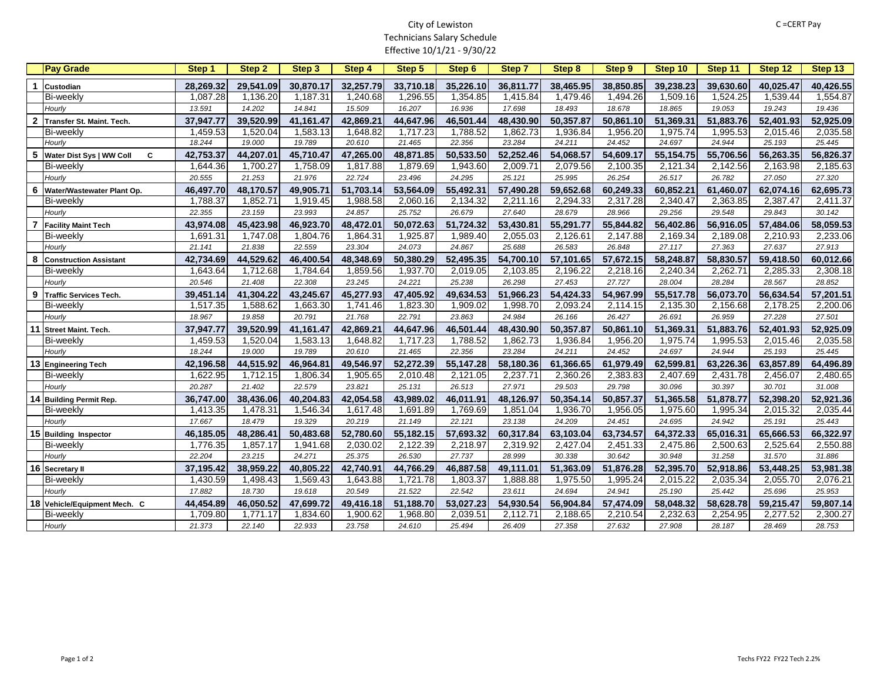## City of Lewiston Technicians Salary Schedule Effective 10/1/21 - 9/30/22

|                      | <b>Pay Grade</b>              | Step 1    | Step 2    | Step 3    | <b>Step 4</b> | Step 5    | Step 6    | Step 7    | <b>Step 8</b> | <b>Step 9</b> | Step 10   | Step 11   | Step 12   | Step 13   |
|----------------------|-------------------------------|-----------|-----------|-----------|---------------|-----------|-----------|-----------|---------------|---------------|-----------|-----------|-----------|-----------|
| $\blacktriangleleft$ | <b>Custodian</b>              | 28,269.32 | 29,541.09 | 30,870.17 | 32,257.79     | 33,710.18 | 35,226.10 | 36,811.77 | 38,465.95     | 38,850.85     | 39,238.23 | 39,630.60 | 40,025.47 | 40,426.55 |
|                      | <b>Bi-weekly</b>              | 1,087.28  | 1,136.20  | 1,187.31  | 1,240.68      | 1,296.55  | 1,354.85  | 1,415.84  | 1,479.46      | 1,494.26      | 1,509.16  | 1,524.25  | 1,539.44  | 1,554.87  |
|                      | Hourly                        | 13.591    | 14.202    | 14.841    | 15.509        | 16.207    | 16.936    | 17.698    | 18.493        | 18.678        | 18.865    | 19.053    | 19.243    | 19.436    |
|                      | 2 Transfer St. Maint. Tech.   | 37,947.77 | 39,520.99 | 41,161.47 | 42,869.21     | 44,647.96 | 46,501.44 | 48,430.90 | 50,357.87     | 50,861.10     | 51,369.31 | 51,883.76 | 52,401.93 | 52,925.09 |
|                      | <b>Bi-weekly</b>              | 1,459.53  | 1,520.04  | 1,583.13  | 1,648.82      | 1,717.23  | 1,788.52  | 1,862.73  | 1,936.84      | 1,956.20      | 1,975.74  | 1,995.53  | 2,015.46  | 2,035.58  |
|                      | Hourly                        | 18.244    | 19.000    | 19.789    | 20.610        | 21.465    | 22.356    | 23.284    | 24.211        | 24.452        | 24.697    | 24.944    | 25.193    | 25.445    |
| 5                    | Water Dist Sys   WW Coll<br>C | 42,753.37 | 44,207.01 | 45,710.47 | 47,265.00     | 48,871.85 | 50,533.50 | 52,252.46 | 54,068.57     | 54,609.17     | 55,154.75 | 55,706.56 | 56,263.35 | 56,826.37 |
|                      | <b>Bi-weekly</b>              | 1,644.36  | 1,700.27  | 1,758.09  | 1,817.88      | 1,879.69  | 1,943.60  | 2,009.71  | 2,079.56      | 2,100.35      | 2,121.34  | 2,142.56  | 2,163.98  | 2,185.63  |
|                      | Hourly                        | 20.555    | 21.253    | 21.976    | 22.724        | 23.496    | 24.295    | 25.121    | 25.995        | 26.254        | 26.517    | 26.782    | 27.050    | 27.320    |
| 6                    | Water/Wastewater Plant Op.    | 46,497.70 | 48,170.57 | 49,905.71 | 51,703.14     | 53,564.09 | 55,492.31 | 57,490.28 | 59,652.68     | 60,249.33     | 60,852.21 | 61,460.07 | 62,074.16 | 62,695.73 |
|                      | <b>Bi-weekly</b>              | 1,788.37  | 1,852.71  | 1,919.45  | 1,988.58      | 2,060.16  | 2,134.32  | 2,211.16  | 2,294.33      | 2,317.28      | 2,340.47  | 2,363.85  | 2,387.47  | 2,411.37  |
|                      | Hourly                        | 22.355    | 23.159    | 23.993    | 24.857        | 25.752    | 26.679    | 27.640    | 28.679        | 28.966        | 29.256    | 29.548    | 29.843    | 30.142    |
| $\overline{7}$       | <b>Facility Maint Tech</b>    | 43,974.08 | 45,423.98 | 46,923.70 | 48,472.01     | 50,072.63 | 51,724.32 | 53,430.81 | 55,291.77     | 55,844.82     | 56,402.86 | 56,916.05 | 57,484.06 | 58,059.53 |
|                      | <b>Bi-weekly</b>              | 1,691.31  | 1,747.08  | 1,804.76  | 1,864.31      | 1,925.87  | 1,989.40  | 2,055.03  | 2,126.61      | 2,147.88      | 2,169.34  | 2,189.08  | 2,210.93  | 2,233.06  |
|                      | Hourly                        | 21.141    | 21.838    | 22.559    | 23.304        | 24.073    | 24.867    | 25.688    | 26.583        | 26.848        | 27.117    | 27.363    | 27.637    | 27.913    |
| 8                    | <b>Construction Assistant</b> | 42,734.69 | 44,529.62 | 46,400.54 | 48,348.69     | 50,380.29 | 52,495.35 | 54,700.10 | 57,101.65     | 57,672.15     | 58,248.87 | 58,830.57 | 59,418.50 | 60,012.66 |
|                      | <b>Bi-weekly</b>              | 1,643.64  | 1,712.68  | 1,784.64  | 1,859.56      | 1,937.70  | 2,019.05  | 2,103.85  | 2,196.22      | 2,218.16      | 2,240.34  | 2,262.71  | 2,285.33  | 2,308.18  |
|                      | Hourly                        | 20.546    | 21.408    | 22.308    | 23.245        | 24.221    | 25.238    | 26.298    | 27.453        | 27.727        | 28.004    | 28.284    | 28.567    | 28.852    |
| $\boldsymbol{9}$     | Traffic Services Tech.        | 39,451.14 | 41,304.22 | 43,245.67 | 45,277.93     | 47,405.92 | 49,634.53 | 51,966.23 | 54,424.33     | 54,967.99     | 55,517.78 | 56,073.70 | 56,634.54 | 57,201.51 |
|                      | <b>Bi-weekly</b>              | 1,517.35  | 1,588.62  | 1,663.30  | 1,741.46      | 1,823.30  | 1,909.02  | 1,998.70  | 2,093.24      | 2,114.15      | 2,135.30  | 2,156.68  | 2,178.25  | 2,200.06  |
|                      | Hourly                        | 18.967    | 19.858    | 20.791    | 21.768        | 22.791    | 23.863    | 24.984    | 26.166        | 26.427        | 26.691    | 26.959    | 27.228    | 27.501    |
|                      | 11 Street Maint. Tech.        | 37,947.77 | 39,520.99 | 41,161.47 | 42,869.21     | 44,647.96 | 46,501.44 | 48,430.90 | 50,357.87     | 50,861.10     | 51,369.31 | 51,883.76 | 52,401.93 | 52,925.09 |
|                      | <b>Bi-weekly</b>              | 1,459.53  | 1,520.04  | 1,583.13  | 1,648.82      | 1,717.23  | 1,788.52  | 1,862.73  | 1,936.84      | 1,956.20      | 1,975.74  | 1,995.53  | 2,015.46  | 2,035.58  |
|                      | Hourly                        | 18.244    | 19.000    | 19.789    | 20.610        | 21.465    | 22.356    | 23.284    | 24.211        | 24.452        | 24.697    | 24.944    | 25.193    | 25.445    |
|                      | 13 Engineering Tech           | 42,196.58 | 44,515.92 | 46,964.81 | 49,546.97     | 52,272.39 | 55,147.28 | 58,180.36 | 61,366.65     | 61,979.49     | 62,599.81 | 63,226.36 | 63,857.89 | 64,496.89 |
|                      | <b>Bi-weekly</b>              | 1,622.95  | 1,712.15  | 1,806.34  | 1,905.65      | 2,010.48  | 2,121.05  | 2,237.71  | 2,360.26      | 2,383.83      | 2,407.69  | 2,431.78  | 2,456.07  | 2,480.65  |
|                      | Hourly                        | 20.287    | 21.402    | 22.579    | 23.821        | 25.131    | 26.513    | 27.971    | 29.503        | 29.798        | 30.096    | 30.397    | 30.701    | 31.008    |
|                      | 14 Building Permit Rep.       | 36,747.00 | 38,436.06 | 40,204.83 | 42,054.58     | 43,989.02 | 46,011.91 | 48,126.97 | 50,354.14     | 50,857.37     | 51,365.58 | 51,878.77 | 52,398.20 | 52,921.36 |
|                      | <b>Bi-weekly</b>              | 1,413.35  | 1,478.31  | 1,546.34  | 1,617.48      | 1,691.89  | 1,769.69  | 1,851.04  | 1,936.70      | 1,956.05      | 1,975.60  | 1,995.34  | 2,015.32  | 2,035.44  |
|                      | Hourly                        | 17.667    | 18.479    | 19.329    | 20.219        | 21.149    | 22.121    | 23.138    | 24.209        | 24.451        | 24.695    | 24.942    | 25.191    | 25.443    |
|                      | 15 Building Inspector         | 46,185.05 | 48,286.41 | 50,483.68 | 52,780.60     | 55,182.15 | 57,693.32 | 60,317.84 | 63,103.04     | 63,734.57     | 64,372.33 | 65,016.31 | 65,666.53 | 66,322.97 |
|                      | <b>Bi-weekly</b>              | 1,776.35  | 1,857.17  | 1,941.68  | 2,030.02      | 2,122.39  | 2,218.97  | 2,319.92  | 2,427.04      | 2,451.33      | 2,475.86  | 2,500.63  | 2,525.64  | 2,550.88  |
|                      | Hourly                        | 22.204    | 23.215    | 24.271    | 25.375        | 26.530    | 27.737    | 28.999    | 30.338        | 30.642        | 30.948    | 31.258    | 31.570    | 31.886    |
|                      | 16 Secretary II               | 37,195.42 | 38,959.22 | 40,805.22 | 42,740.91     | 44,766.29 | 46,887.58 | 49,111.01 | 51,363.09     | 51,876.28     | 52,395.70 | 52,918.86 | 53,448.25 | 53,981.38 |
|                      | <b>Bi-weekly</b>              | 1,430.59  | 1,498.43  | 1,569.43  | 1,643.88      | 1,721.78  | 1,803.37  | 1,888.88  | 1,975.50      | 1,995.24      | 2,015.22  | 2,035.34  | 2,055.70  | 2,076.21  |
|                      | Hourly                        | 17.882    | 18.730    | 19.618    | 20.549        | 21.522    | 22.542    | 23.611    | 24.694        | 24.941        | 25.190    | 25.442    | 25.696    | 25.953    |
|                      | 18 Vehicle/Equipment Mech. C  | 44,454.89 | 46,050.52 | 47,699.72 | 49,416.18     | 51,188.70 | 53,027.23 | 54,930.54 | 56,904.84     | 57,474.09     | 58,048.32 | 58,628.78 | 59,215.47 | 59,807.14 |
|                      | <b>Bi-weekly</b>              | 1,709.80  | 1,771.17  | 1,834.60  | 1,900.62      | 1,968.80  | 2,039.51  | 2,112.71  | 2,188.65      | 2,210.54      | 2,232.63  | 2,254.95  | 2,277.52  | 2,300.27  |
|                      | Hourly                        | 21.373    | 22.140    | 22.933    | 23.758        | 24.610    | 25.494    | 26.409    | 27.358        | 27.632        | 27.908    | 28.187    | 28.469    | 28.753    |